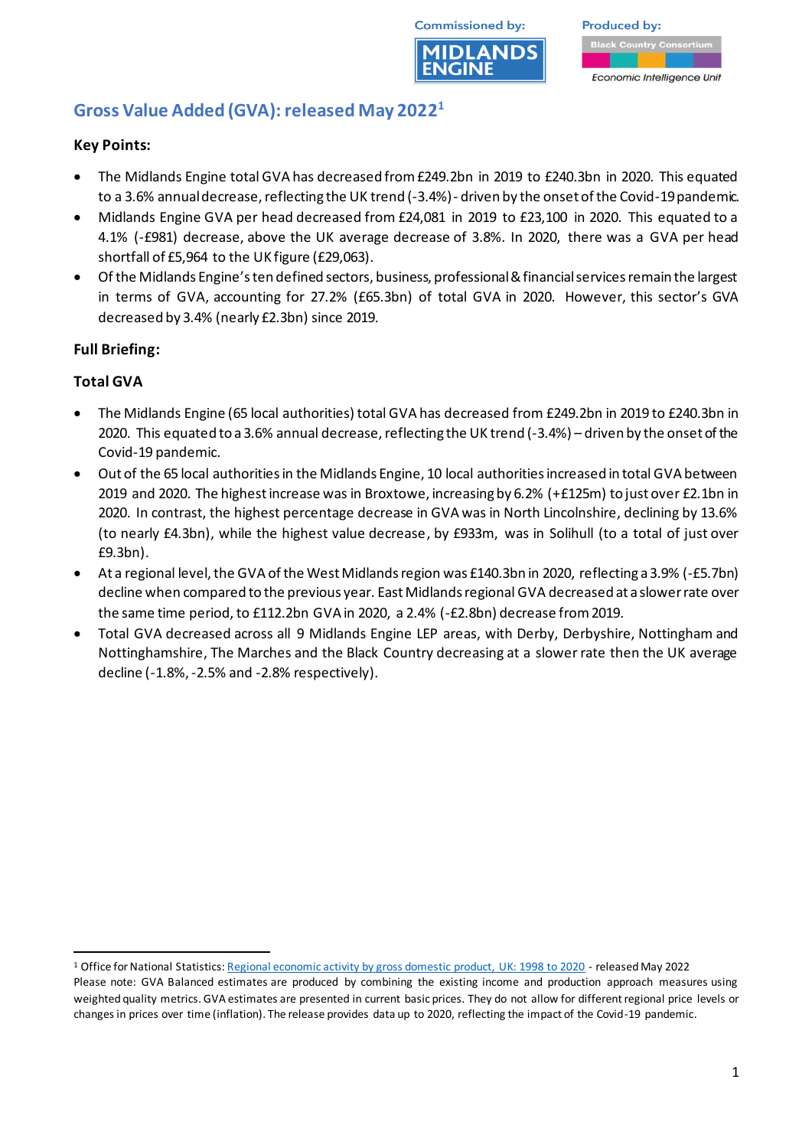

**Produced by:** Economic Intelligence Unit

# **Gross Value Added (GVA): released May 2022 1**

## **Key Points:**

- The Midlands Engine total GVA has decreased from £249.2bn in 2019 to £240.3bn in 2020. This equated to a 3.6% annual decrease, reflecting the UK trend (-3.4%)- driven by the onset of the Covid-19 pandemic.
- Midlands Engine GVA per head decreased from £24,081 in 2019 to £23,100 in 2020. This equated to a 4.1% (-£981) decrease, above the UK average decrease of 3.8%. In 2020, there was a GVA per head shortfall of £5,964 to the UK figure (£29,063).
- Of the Midlands Engine's ten defined sectors, business, professional & financial services remain the largest in terms of GVA, accounting for 27.2% (£65.3bn) of total GVA in 2020. However, this sector's GVA decreased by 3.4% (nearly £2.3bn) since 2019.

# **Full Briefing:**

# **Total GVA**

- The Midlands Engine (65 local authorities) total GVA has decreased from £249.2bn in 2019 to £240.3bn in 2020. This equated to a 3.6% annual decrease, reflecting the UK trend (-3.4%) – driven by the onset of the Covid-19 pandemic.
- Out of the 65 local authorities in the Midlands Engine, 10 local authorities increased in total GVA between 2019 and 2020. The highest increase was in Broxtowe, increasing by 6.2% (+£125m) to just over £2.1bn in 2020. In contrast, the highest percentage decrease in GVA was in North Lincolnshire, declining by 13.6% (to nearly £4.3bn), while the highest value decrease, by £933m, was in Solihull (to a total of just over £9.3bn).
- At a regional level, the GVA of the West Midlands region was £140.3bn in 2020, reflecting a3.9% (-£5.7bn) decline when compared to the previous year. East Midlands regional GVA decreased at a slower rate over the same time period, to £112.2bn GVA in 2020, a 2.4% (-£2.8bn) decrease from 2019.
- Total GVA decreased across all 9 Midlands Engine LEP areas, with Derby, Derbyshire, Nottingham and Nottinghamshire, The Marches and the Black Country decreasing at a slower rate then the UK average decline (-1.8%, -2.5% and -2.8% respectively).

<sup>1</sup> Office for National Statistics[: Regional economic activity by gross domestic product, UK: 1998 to 2020](https://www.ons.gov.uk/economy/grossdomesticproductgdp/bulletins/regionaleconomicactivitybygrossdomesticproductuk/1998to2020) - released May 2022

Please note: GVA Balanced estimates are produced by combining the existing income and production approach measures using weighted quality metrics. GVA estimates are presented in current basic prices. They do not allow for different regional price levels or changes in prices over time (inflation). The release provides data up to 2020, reflecting the impact of the Covid-19 pandemic.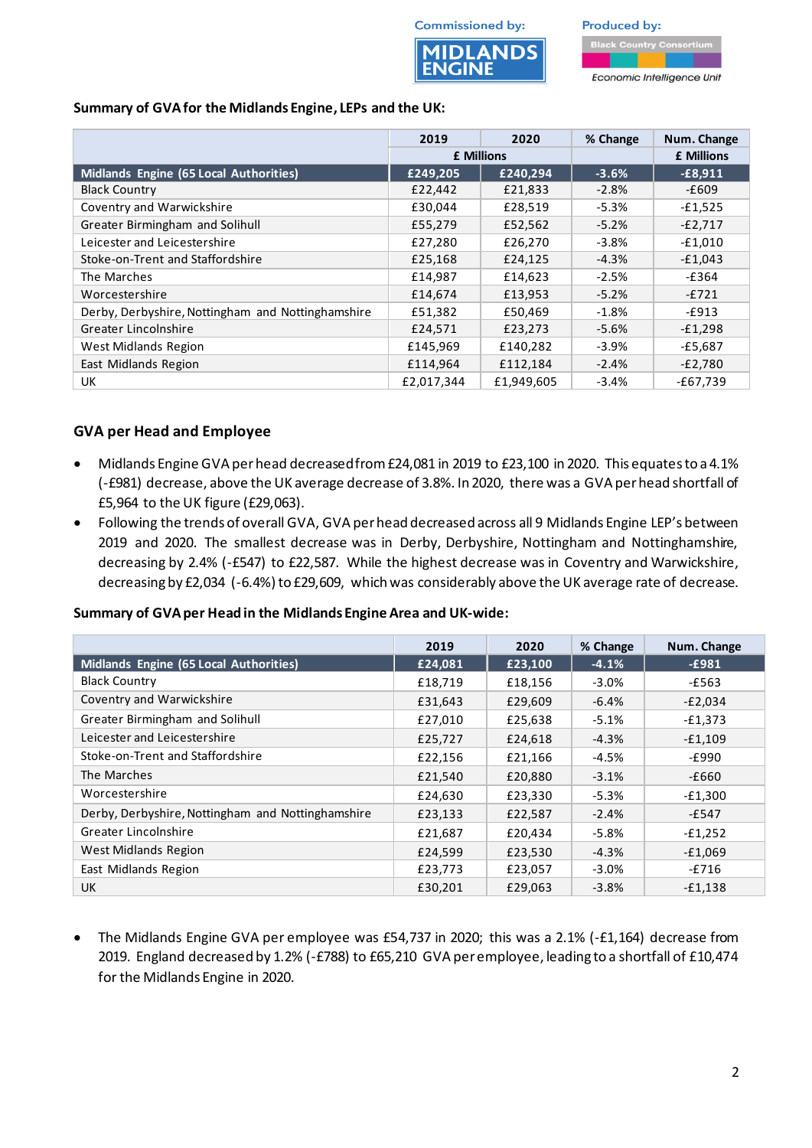



#### **Summary of GVAfor the Midlands Engine, LEPs and the UK:**

|                                                   | 2019              | 2020       | % Change | Num. Change       |
|---------------------------------------------------|-------------------|------------|----------|-------------------|
|                                                   | <b>£ Millions</b> |            |          | <b>£ Millions</b> |
| Midlands Engine (65 Local Authorities)            | £249,205          | £240,294   | $-3.6%$  | $-£8,911$         |
| <b>Black Country</b>                              | £22,442           | £21,833    | $-2.8%$  | -£609             |
| Coventry and Warwickshire                         | £30,044           | £28,519    | $-5.3%$  | $-£1,525$         |
| Greater Birmingham and Solihull                   | £55,279           | £52,562    | $-5.2%$  | $-E2,717$         |
| Leicester and Leicestershire                      | £27,280           | £26,270    | $-3.8%$  | $-£1,010$         |
| Stoke-on-Trent and Staffordshire                  | £25,168           | £24,125    | $-4.3%$  | $-£1,043$         |
| The Marches                                       | £14,987           | £14,623    | $-2.5%$  | -£364             |
| Worcestershire                                    | £14,674           | £13,953    | $-5.2%$  | $-E721$           |
| Derby, Derbyshire, Nottingham and Nottinghamshire | £51,382           | £50,469    | $-1.8%$  | -£913             |
| Greater Lincolnshire                              | £24,571           | £23,273    | $-5.6%$  | $-E1,298$         |
| <b>West Midlands Region</b>                       | £145,969          | £140,282   | $-3.9%$  | -£5,687           |
| East Midlands Region                              | £114,964          | £112,184   | $-2.4%$  | $-E2,780$         |
| UK                                                | £2,017,344        | £1,949,605 | $-3.4%$  | $-£67,739$        |

### **GVA per Head and Employee**

- Midlands Engine GVA per head decreased from £24,081 in 2019 to £23,100 in 2020. This equates to a 4.1% (-£981) decrease, above the UK average decrease of 3.8%. In 2020, there was a GVA per head shortfall of £5,964 to the UK figure (£29,063).
- Following the trends of overall GVA, GVA per head decreased across all 9 Midlands Engine LEP's between 2019 and 2020. The smallest decrease was in Derby, Derbyshire, Nottingham and Nottinghamshire, decreasing by 2.4% (-£547) to £22,587. While the highest decrease was in Coventry and Warwickshire, decreasing by £2,034 (-6.4%) to £29,609, which was considerably above the UK average rate of decrease.

#### **Summary of GVA per Head in the Midlands Engine Area and UK-wide:**

|                                                   | 2019    | 2020    | % Change | Num. Change |
|---------------------------------------------------|---------|---------|----------|-------------|
| Midlands Engine (65 Local Authorities)            | £24,081 | £23,100 | $-4.1%$  | $-£981$     |
| <b>Black Country</b>                              | £18,719 | £18,156 | $-3.0%$  | -£563       |
| Coventry and Warwickshire                         | £31,643 | £29,609 | $-6.4%$  | $-E2,034$   |
| Greater Birmingham and Solihull                   | £27,010 | £25,638 | $-5.1%$  | $-E1,373$   |
| Leicester and Leicestershire                      | £25,727 | £24.618 | $-4.3%$  | $-E1,109$   |
| Stoke-on-Trent and Staffordshire                  | £22,156 | £21,166 | -4.5%    | $-£990$     |
| The Marches                                       | £21,540 | £20,880 | $-3.1%$  | -£660       |
| Worcestershire                                    | £24,630 | £23,330 | $-5.3%$  | $-E1,300$   |
| Derby, Derbyshire, Nottingham and Nottinghamshire | £23,133 | £22,587 | $-2.4%$  | $-E547$     |
| Greater Lincolnshire                              | £21,687 | £20,434 | $-5.8%$  | $-£1,252$   |
| <b>West Midlands Region</b>                       | £24,599 | £23,530 | $-4.3%$  | $-£1,069$   |
| East Midlands Region                              | £23,773 | £23,057 | $-3.0%$  | -£716       |
| <b>UK</b>                                         | £30,201 | £29,063 | $-3.8%$  | $-E1,138$   |

• The Midlands Engine GVA per employee was £54,737 in 2020; this was a 2.1% (-£1,164) decrease from 2019. England decreased by 1.2% (-£788) to £65,210 GVA per employee, leading to a shortfall of £10,474 for the Midlands Engine in 2020.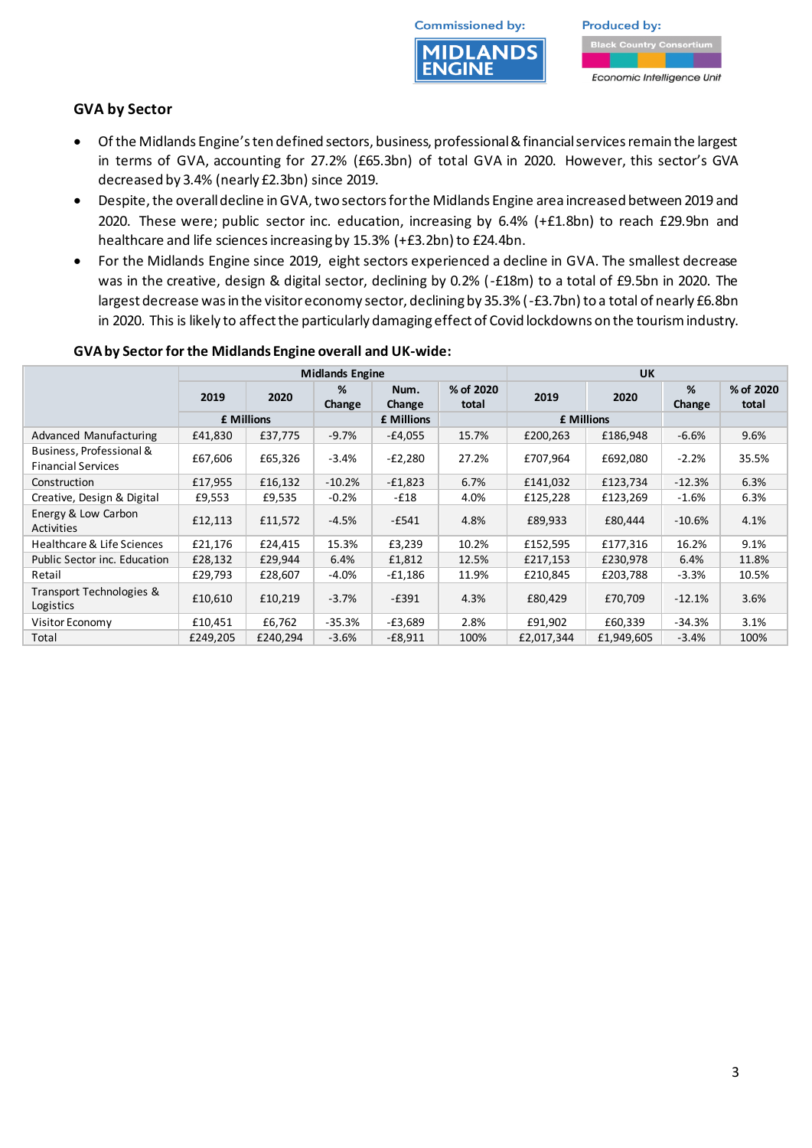

**Produced by:** Economic Intelligence Unit

## **GVA by Sector**

- Of the Midlands Engine's ten defined sectors, business, professional & financial services remain the largest in terms of GVA, accounting for 27.2% (£65.3bn) of total GVA in 2020. However, this sector's GVA decreased by 3.4% (nearly £2.3bn) since 2019.
- Despite, the overall decline in GVA, two sectors for the Midlands Engine area increased between 2019 and 2020. These were; public sector inc. education, increasing by 6.4% (+£1.8bn) to reach £29.9bn and healthcare and life sciences increasing by 15.3% (+£3.2bn) to £24.4bn.
- For the Midlands Engine since 2019, eight sectors experienced a decline in GVA. The smallest decrease was in the creative, design & digital sector, declining by 0.2% (-£18m) to a total of £9.5bn in 2020. The largest decrease was in the visitor economy sector, declining by 35.3% (-£3.7bn) to a total of nearly £6.8bn in 2020. This is likely to affect the particularly damaging effect of Covid lockdowns on the tourism industry.

|                                                       | <b>Midlands Engine</b> |          |             |                | <b>UK</b>          |                   |            |             |                    |
|-------------------------------------------------------|------------------------|----------|-------------|----------------|--------------------|-------------------|------------|-------------|--------------------|
|                                                       | 2019                   | 2020     | %<br>Change | Num.<br>Change | % of 2020<br>total | 2019              | 2020       | %<br>Change | % of 2020<br>total |
|                                                       | £ Millions             |          |             | £ Millions     |                    | <b>f</b> Millions |            |             |                    |
| Advanced Manufacturing                                | £41,830                | £37,775  | $-9.7%$     | $-E4,055$      | 15.7%              | £200,263          | £186,948   | $-6.6%$     | 9.6%               |
| Business, Professional &<br><b>Financial Services</b> | £67,606                | £65,326  | $-3.4%$     | -£2,280        | 27.2%              | £707,964          | £692,080   | $-2.2%$     | 35.5%              |
| Construction                                          | £17,955                | £16,132  | $-10.2%$    | $-E1,823$      | 6.7%               | £141,032          | £123,734   | $-12.3%$    | 6.3%               |
| Creative, Design & Digital                            | £9,553                 | £9,535   | $-0.2%$     | -£18           | 4.0%               | £125,228          | £123,269   | $-1.6%$     | 6.3%               |
| Energy & Low Carbon<br>Activities                     | £12,113                | £11,572  | $-4.5%$     | $-E541$        | 4.8%               | £89,933           | £80,444    | $-10.6\%$   | 4.1%               |
| Healthcare & Life Sciences                            | £21,176                | £24,415  | 15.3%       | £3,239         | 10.2%              | £152,595          | £177.316   | 16.2%       | 9.1%               |
| <b>Public Sector inc. Education</b>                   | £28,132                | £29,944  | 6.4%        | £1,812         | 12.5%              | £217,153          | £230,978   | 6.4%        | 11.8%              |
| Retail                                                | £29,793                | £28,607  | $-4.0%$     | -£1,186        | 11.9%              | £210,845          | £203,788   | $-3.3%$     | 10.5%              |
| Transport Technologies &<br>Logistics                 | £10,610                | £10,219  | $-3.7%$     | $-E391$        | 4.3%               | £80,429           | £70,709    | $-12.1%$    | 3.6%               |
| Visitor Economy                                       | £10,451                | £6,762   | $-35.3%$    | $-E3,689$      | 2.8%               | £91,902           | £60,339    | $-34.3%$    | 3.1%               |
| Total                                                 | £249,205               | £240,294 | $-3.6%$     | $-E8,911$      | 100%               | £2,017,344        | £1,949,605 | $-3.4%$     | 100%               |

#### **GVA by Sector for the Midlands Engine overall and UK-wide:**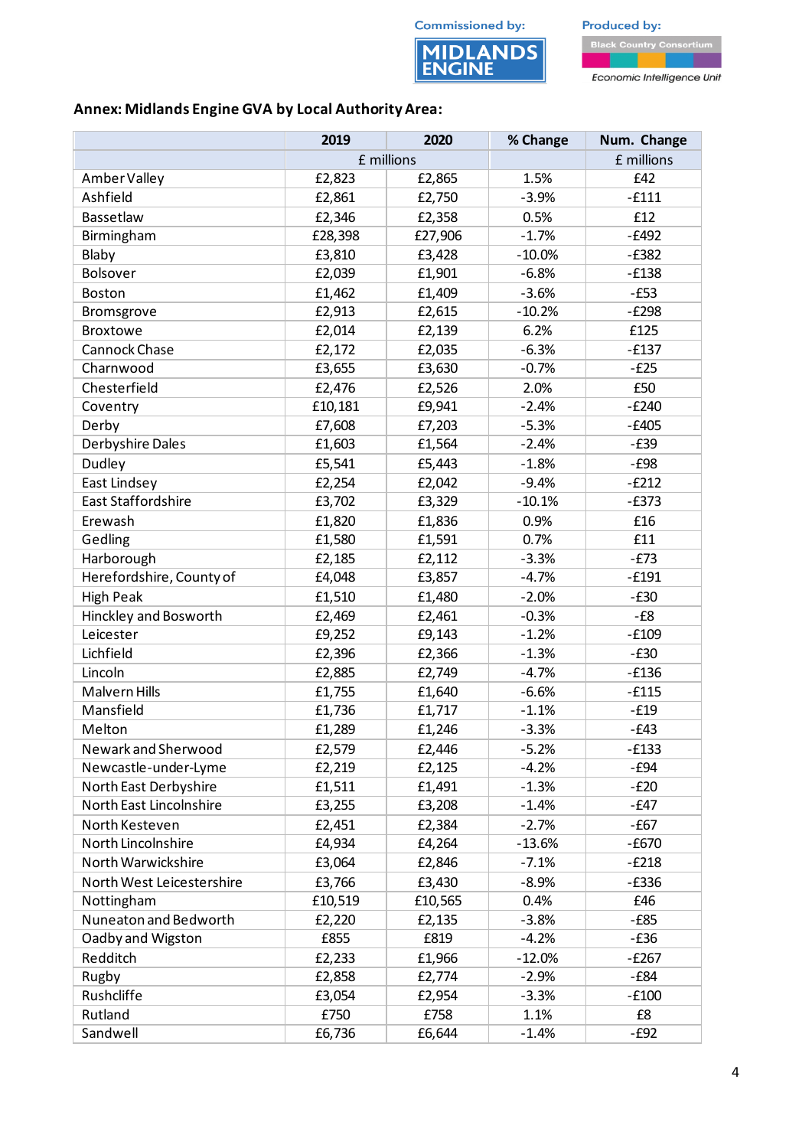**MIDLANDS**<br>ENGINE



**Annex: Midlands Engine GVA by Local Authority Area:**

|                           | 2019       | 2020    | % Change | Num. Change |  |
|---------------------------|------------|---------|----------|-------------|--|
|                           | £ millions |         |          | £ millions  |  |
| Amber Valley              | £2,823     | £2,865  | 1.5%     | £42         |  |
| Ashfield                  | £2,861     | £2,750  | $-3.9%$  | $-£111$     |  |
| Bassetlaw                 | £2,346     | £2,358  | 0.5%     | £12         |  |
| Birmingham                | £28,398    | £27,906 | $-1.7%$  | $-E492$     |  |
| Blaby                     | £3,810     | £3,428  | $-10.0%$ | $-E382$     |  |
| Bolsover                  | £2,039     | £1,901  | $-6.8%$  | $-E138$     |  |
| Boston                    | £1,462     | £1,409  | $-3.6%$  | $-E53$      |  |
| Bromsgrove                | £2,913     | £2,615  | $-10.2%$ | $-E298$     |  |
| <b>Broxtowe</b>           | £2,014     | £2,139  | 6.2%     | £125        |  |
| Cannock Chase             | £2,172     | £2,035  | $-6.3%$  | $-E137$     |  |
| Charnwood                 | £3,655     | £3,630  | $-0.7%$  | $-E25$      |  |
| Chesterfield              | £2,476     | £2,526  | 2.0%     | £50         |  |
| Coventry                  | £10,181    | £9,941  | $-2.4%$  | $-E240$     |  |
| Derby                     | £7,608     | £7,203  | $-5.3%$  | $-£405$     |  |
| Derbyshire Dales          | £1,603     | £1,564  | $-2.4%$  | $-E39$      |  |
| Dudley                    | £5,541     | £5,443  | $-1.8%$  | $-E98$      |  |
| East Lindsey              | £2,254     | £2,042  | $-9.4%$  | $-E212$     |  |
| East Staffordshire        | £3,702     | £3,329  | $-10.1%$ | $-E373$     |  |
| Erewash                   | £1,820     | £1,836  | 0.9%     | £16         |  |
| Gedling                   | £1,580     | £1,591  | 0.7%     | £11         |  |
| Harborough                | £2,185     | £2,112  | $-3.3%$  | $-E73$      |  |
| Herefordshire, County of  | £4,048     | £3,857  | $-4.7%$  | $-£191$     |  |
| <b>High Peak</b>          | £1,510     | £1,480  | $-2.0%$  | $-E30$      |  |
| Hinckley and Bosworth     | £2,469     | £2,461  | $-0.3%$  | $-E8$       |  |
| Leicester                 | £9,252     | £9,143  | $-1.2%$  | $-£109$     |  |
| Lichfield                 | £2,396     | £2,366  | $-1.3%$  | $-E30$      |  |
| Lincoln                   | £2,885     | £2,749  | $-4.7%$  | $-£136$     |  |
| Malvern Hills             | £1,755     | £1,640  | $-6.6%$  | $-£115$     |  |
| Mansfield                 | £1,736     | £1,717  | $-1.1%$  | $-E19$      |  |
| Melton                    | £1,289     | £1,246  | $-3.3%$  | $-E43$      |  |
| Newark and Sherwood       | £2,579     | £2,446  | $-5.2%$  | $-E133$     |  |
| Newcastle-under-Lyme      | £2,219     | £2,125  | $-4.2%$  | $-E94$      |  |
| North East Derbyshire     | £1,511     | £1,491  | $-1.3%$  | $-E20$      |  |
| North East Lincolnshire   | £3,255     | £3,208  | $-1.4%$  | $-E47$      |  |
| North Kesteven            | £2,451     | £2,384  | $-2.7%$  | -£67        |  |
| North Lincolnshire        | £4,934     | £4,264  | $-13.6%$ | $-£670$     |  |
| North Warwickshire        | £3,064     | £2,846  | $-7.1%$  | $-E218$     |  |
| North West Leicestershire | £3,766     | £3,430  | $-8.9%$  | $-E336$     |  |
| Nottingham                | £10,519    | £10,565 | 0.4%     | £46         |  |
| Nuneaton and Bedworth     | £2,220     | £2,135  | $-3.8%$  | $-E85$      |  |
| Oadby and Wigston         | £855       | £819    | $-4.2%$  | $-E36$      |  |
| Redditch                  | £2,233     | £1,966  | $-12.0%$ | $-E267$     |  |
| Rugby                     | £2,858     | £2,774  | $-2.9%$  | -£84        |  |
| Rushcliffe                | £3,054     | £2,954  | $-3.3%$  | $-£100$     |  |
| Rutland                   | £750       | £758    | 1.1%     | £8          |  |
| Sandwell                  | £6,736     | £6,644  | $-1.4%$  | $-E92$      |  |

4